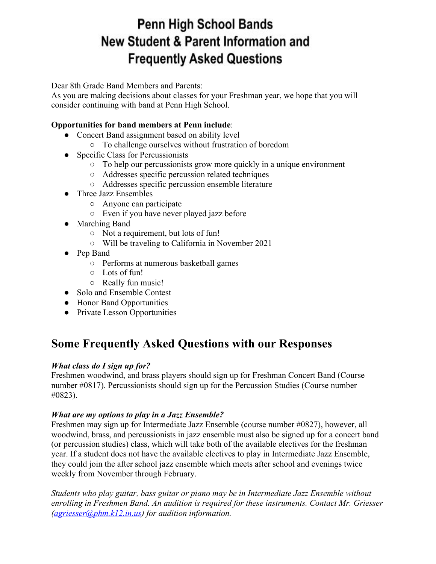# Penn High School Bands **New Student & Parent Information and Frequently Asked Questions**

Dear 8th Grade Band Members and Parents:

As you are making decisions about classes for your Freshman year, we hope that you will consider continuing with band at Penn High School.

# **Opportunities for band members at Penn include**:

- Concert Band assignment based on ability level
	- To challenge ourselves without frustration of boredom
- Specific Class for Percussionists
	- To help our percussionists grow more quickly in a unique environment
	- Addresses specific percussion related techniques
	- Addresses specific percussion ensemble literature
- Three Jazz Ensembles
	- Anyone can participate
	- Even if you have never played jazz before
- Marching Band
	- Not a requirement, but lots of fun!
	- Will be traveling to California in November 2021
- Pep Band
	- Performs at numerous basketball games
	- Lots of fun!
	- Really fun music!
- Solo and Ensemble Contest
- Honor Band Opportunities
- Private Lesson Opportunities

# **Some Frequently Asked Questions with our Responses**

# *What class do I sign up for?*

Freshmen woodwind, and brass players should sign up for Freshman Concert Band (Course number #0817). Percussionists should sign up for the Percussion Studies (Course number #0823).

# *What are my options to play in a Jazz Ensemble?*

Freshmen may sign up for Intermediate Jazz Ensemble (course number #0827), however, all woodwind, brass, and percussionists in jazz ensemble must also be signed up for a concert band (or percussion studies) class, which will take both of the available electives for the freshman year. If a student does not have the available electives to play in Intermediate Jazz Ensemble, they could join the after school jazz ensemble which meets after school and evenings twice weekly from November through February.

*Students who play guitar, bass guitar or piano may be in Intermediate Jazz Ensemble without enrolling in Freshmen Band. An audition is required for these instruments. Contact Mr. Griesser ([agriesser@phm.k12.in.us\)](mailto:agriesser@phm.k12.in.us) for audition information.*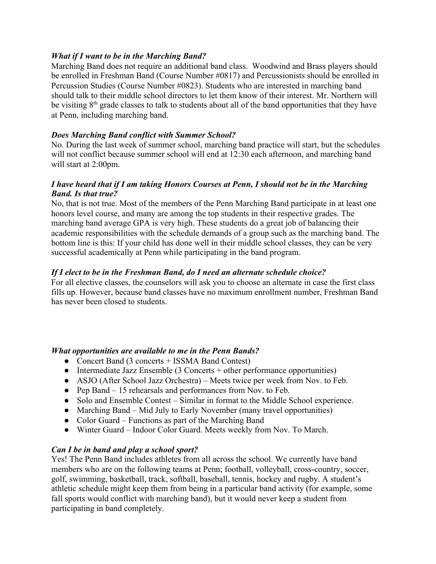#### *What if I want to be in the Marching Band?*

Marching Band does not require an additional band class. Woodwind and Brass players should be enrolled in Freshman Band (Course Number #0817) and Percussionists should be enrolled in Percussion Studies (Course Number #0823). Students who are interested in marching band should talk to their middle school directors to let them know of their interest. Mr. Northern will be visiting  $8<sup>th</sup>$  grade classes to talk to students about all of the band opportunities that they have at Penn, including marching band.

#### *Does Marching Band conflict with Summer School?*

No. During the last week of summer school, marching band practice will start, but the schedules will not conflict because summer school will end at 12:30 each afternoon, and marching band will start at 2:00pm.

#### *I have heard that if I am taking Honors Courses at Penn, I should not be in the Marching Band. Is that true?*

No, that is not true. Most of the members of the Penn Marching Band participate in at least one honors level course, and many are among the top students in their respective grades. The marching band average GPA is very high. These students do a great job of balancing their academic responsibilities with the schedule demands of a group such as the marching band. The bottom line is this: If your child has done well in their middle school classes, they can be very successful academically at Penn while participating in the band program.

# *If I elect to be in the Freshman Band, do I need an alternate schedule choice?*

For all elective classes, the counselors will ask you to choose an alternate in case the first class fills up. However, because band classes have no maximum enrollment number, Freshman Band has never been closed to students.

#### *What opportunities are available to me in the Penn Bands?*

- Concert Band (3 concerts + ISSMA Band Contest)
- Intermediate Jazz Ensemble (3 Concerts + other performance opportunities)
- ASJO (After School Jazz Orchestra) Meets twice per week from Nov. to Feb.
- Pep Band 15 rehearsals and performances from Nov. to Feb.
- Solo and Ensemble Contest Similar in format to the Middle School experience.
- Marching Band Mid July to Early November (many travel opportunities)
- Color Guard Functions as part of the Marching Band
- Winter Guard Indoor Color Guard. Meets weekly from Nov. To March.

#### *Can I be in band and play a school sport?*

Yes! The Penn Band includes athletes from all across the school. We currently have band members who are on the following teams at Penn; football, volleyball, cross-country, soccer, golf, swimming, basketball, track, softball, baseball, tennis, hockey and rugby. A student's athletic schedule might keep them from being in a particular band activity (for example, some fall sports would conflict with marching band), but it would never keep a student from participating in band completely.